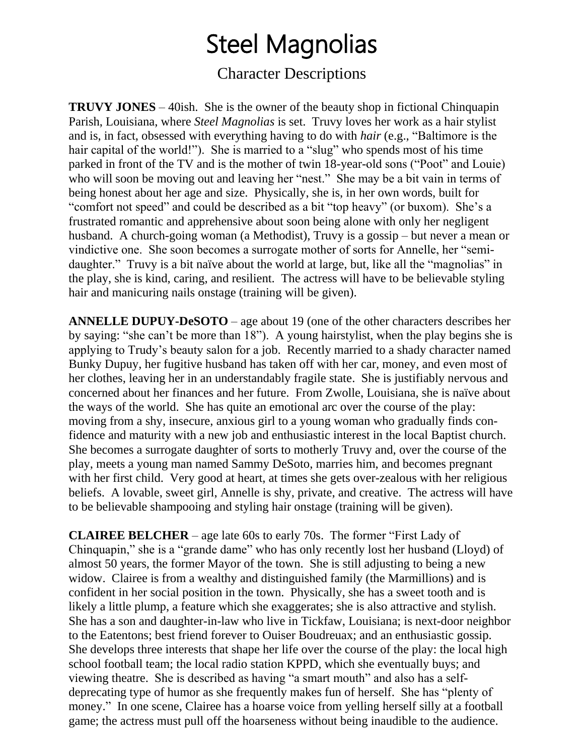## Steel Magnolias

### Character Descriptions

**TRUVY JONES** – 40ish. She is the owner of the beauty shop in fictional Chinquapin Parish, Louisiana, where *Steel Magnolias* is set. Truvy loves her work as a hair stylist and is, in fact, obsessed with everything having to do with *hair* (e.g., "Baltimore is the hair capital of the world!"). She is married to a "slug" who spends most of his time parked in front of the TV and is the mother of twin 18-year-old sons ("Poot" and Louie) who will soon be moving out and leaving her "nest." She may be a bit vain in terms of being honest about her age and size. Physically, she is, in her own words, built for "comfort not speed" and could be described as a bit "top heavy" (or buxom). She's a frustrated romantic and apprehensive about soon being alone with only her negligent husband. A church-going woman (a Methodist), Truvy is a gossip – but never a mean or vindictive one. She soon becomes a surrogate mother of sorts for Annelle, her "semidaughter." Truvy is a bit naïve about the world at large, but, like all the "magnolias" in the play, she is kind, caring, and resilient. The actress will have to be believable styling hair and manicuring nails onstage (training will be given).

**ANNELLE DUPUY-DeSOTO** – age about 19 (one of the other characters describes her by saying: "she can't be more than 18"). A young hairstylist, when the play begins she is applying to Trudy's beauty salon for a job. Recently married to a shady character named Bunky Dupuy, her fugitive husband has taken off with her car, money, and even most of her clothes, leaving her in an understandably fragile state. She is justifiably nervous and concerned about her finances and her future. From Zwolle, Louisiana, she is naïve about the ways of the world. She has quite an emotional arc over the course of the play: moving from a shy, insecure, anxious girl to a young woman who gradually finds confidence and maturity with a new job and enthusiastic interest in the local Baptist church. She becomes a surrogate daughter of sorts to motherly Truvy and, over the course of the play, meets a young man named Sammy DeSoto, marries him, and becomes pregnant with her first child. Very good at heart, at times she gets over-zealous with her religious beliefs. A lovable, sweet girl, Annelle is shy, private, and creative. The actress will have to be believable shampooing and styling hair onstage (training will be given).

**CLAIREE BELCHER** – age late 60s to early 70s. The former "First Lady of Chinquapin," she is a "grande dame" who has only recently lost her husband (Lloyd) of almost 50 years, the former Mayor of the town. She is still adjusting to being a new widow. Clairee is from a wealthy and distinguished family (the Marmillions) and is confident in her social position in the town. Physically, she has a sweet tooth and is likely a little plump, a feature which she exaggerates; she is also attractive and stylish. She has a son and daughter-in-law who live in Tickfaw, Louisiana; is next-door neighbor to the Eatentons; best friend forever to Ouiser Boudreuax; and an enthusiastic gossip. She develops three interests that shape her life over the course of the play: the local high school football team; the local radio station KPPD, which she eventually buys; and viewing theatre. She is described as having "a smart mouth" and also has a selfdeprecating type of humor as she frequently makes fun of herself. She has "plenty of money." In one scene, Clairee has a hoarse voice from yelling herself silly at a football game; the actress must pull off the hoarseness without being inaudible to the audience.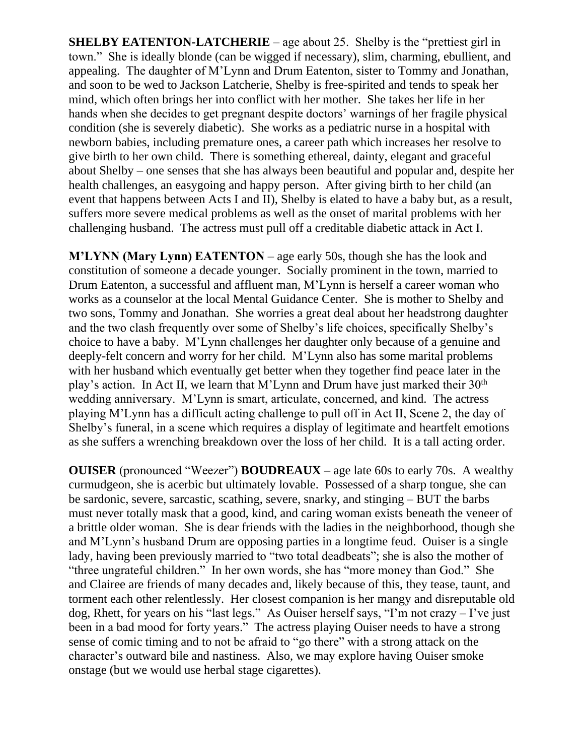**SHELBY EATENTON-LATCHERIE** – age about 25. Shelby is the "prettiest girl in town." She is ideally blonde (can be wigged if necessary), slim, charming, ebullient, and appealing. The daughter of M'Lynn and Drum Eatenton, sister to Tommy and Jonathan, and soon to be wed to Jackson Latcherie, Shelby is free-spirited and tends to speak her mind, which often brings her into conflict with her mother. She takes her life in her hands when she decides to get pregnant despite doctors' warnings of her fragile physical condition (she is severely diabetic). She works as a pediatric nurse in a hospital with newborn babies, including premature ones, a career path which increases her resolve to give birth to her own child. There is something ethereal, dainty, elegant and graceful about Shelby – one senses that she has always been beautiful and popular and, despite her health challenges, an easygoing and happy person. After giving birth to her child (an event that happens between Acts I and II), Shelby is elated to have a baby but, as a result, suffers more severe medical problems as well as the onset of marital problems with her challenging husband. The actress must pull off a creditable diabetic attack in Act I.

**M'LYNN (Mary Lynn) EATENTON** – age early 50s, though she has the look and constitution of someone a decade younger. Socially prominent in the town, married to Drum Eatenton, a successful and affluent man, M'Lynn is herself a career woman who works as a counselor at the local Mental Guidance Center. She is mother to Shelby and two sons, Tommy and Jonathan. She worries a great deal about her headstrong daughter and the two clash frequently over some of Shelby's life choices, specifically Shelby's choice to have a baby. M'Lynn challenges her daughter only because of a genuine and deeply-felt concern and worry for her child. M'Lynn also has some marital problems with her husband which eventually get better when they together find peace later in the play's action. In Act II, we learn that M'Lynn and Drum have just marked their 30<sup>th</sup> wedding anniversary. M'Lynn is smart, articulate, concerned, and kind. The actress playing M'Lynn has a difficult acting challenge to pull off in Act II, Scene 2, the day of Shelby's funeral, in a scene which requires a display of legitimate and heartfelt emotions as she suffers a wrenching breakdown over the loss of her child. It is a tall acting order.

**OUISER** (pronounced "Weezer") **BOUDREAUX** – age late 60s to early 70s. A wealthy curmudgeon, she is acerbic but ultimately lovable. Possessed of a sharp tongue, she can be sardonic, severe, sarcastic, scathing, severe, snarky, and stinging – BUT the barbs must never totally mask that a good, kind, and caring woman exists beneath the veneer of a brittle older woman. She is dear friends with the ladies in the neighborhood, though she and M'Lynn's husband Drum are opposing parties in a longtime feud. Ouiser is a single lady, having been previously married to "two total deadbeats"; she is also the mother of "three ungrateful children." In her own words, she has "more money than God." She and Clairee are friends of many decades and, likely because of this, they tease, taunt, and torment each other relentlessly. Her closest companion is her mangy and disreputable old dog, Rhett, for years on his "last legs." As Ouiser herself says, "I'm not crazy – I've just been in a bad mood for forty years." The actress playing Ouiser needs to have a strong sense of comic timing and to not be afraid to "go there" with a strong attack on the character's outward bile and nastiness. Also, we may explore having Ouiser smoke onstage (but we would use herbal stage cigarettes).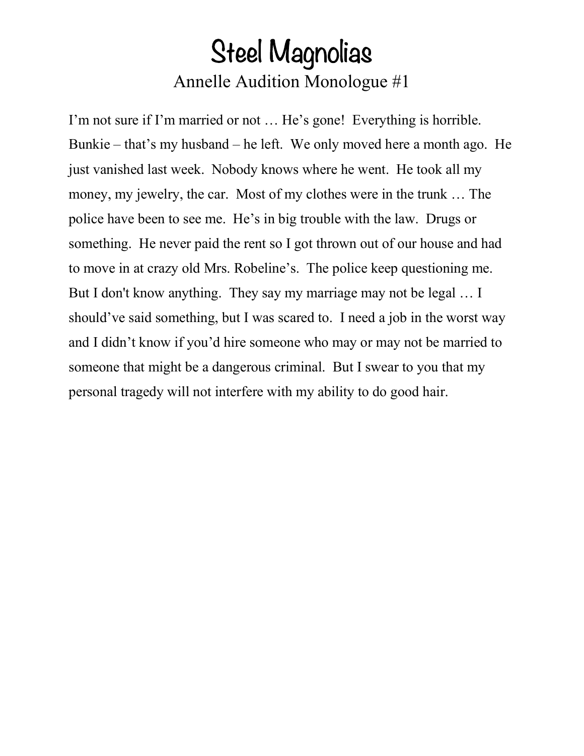### Steel Magnolias Annelle Audition Monologue #1

I'm not sure if I'm married or not … He's gone! Everything is horrible. Bunkie – that's my husband – he left. We only moved here a month ago. He just vanished last week. Nobody knows where he went. He took all my money, my jewelry, the car. Most of my clothes were in the trunk … The police have been to see me. He's in big trouble with the law. Drugs or something. He never paid the rent so I got thrown out of our house and had to move in at crazy old Mrs. Robeline's. The police keep questioning me. But I don't know anything. They say my marriage may not be legal … I should've said something, but I was scared to. I need a job in the worst way and I didn't know if you'd hire someone who may or may not be married to someone that might be a dangerous criminal. But I swear to you that my personal tragedy will not interfere with my ability to do good hair.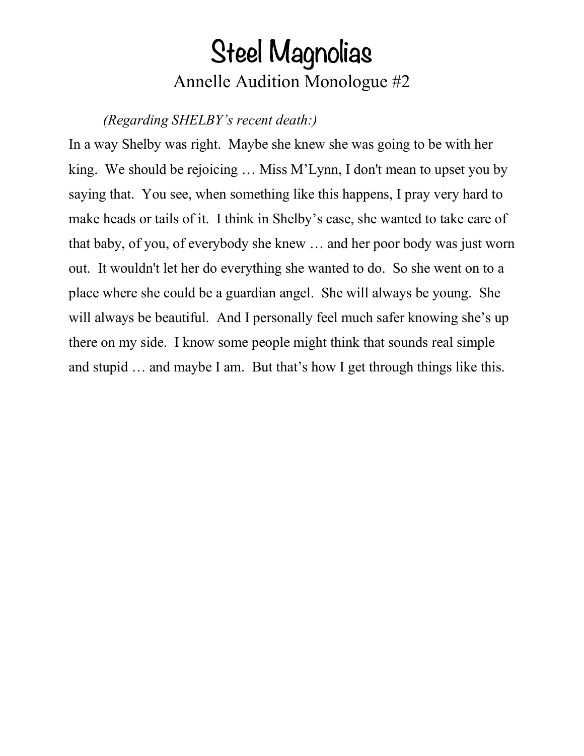### Steel Magnolias Annelle Audition Monologue #2

*(Regarding SHELBY's recent death:)*

In a way Shelby was right. Maybe she knew she was going to be with her king. We should be rejoicing … Miss M'Lynn, I don't mean to upset you by saying that. You see, when something like this happens, I pray very hard to make heads or tails of it. I think in Shelby's case, she wanted to take care of that baby, of you, of everybody she knew … and her poor body was just worn out. It wouldn't let her do everything she wanted to do. So she went on to a place where she could be a guardian angel. She will always be young. She will always be beautiful. And I personally feel much safer knowing she's up there on my side. I know some people might think that sounds real simple and stupid … and maybe I am. But that's how I get through things like this.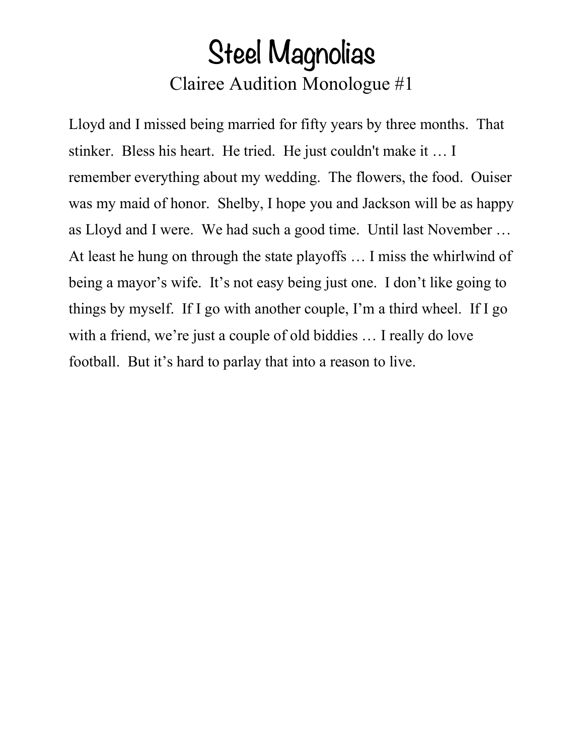## Steel Magnolias Clairee Audition Monologue #1

Lloyd and I missed being married for fifty years by three months. That stinker. Bless his heart. He tried. He just couldn't make it … I remember everything about my wedding. The flowers, the food. Ouiser was my maid of honor. Shelby, I hope you and Jackson will be as happy as Lloyd and I were. We had such a good time. Until last November … At least he hung on through the state playoffs … I miss the whirlwind of being a mayor's wife. It's not easy being just one. I don't like going to things by myself. If I go with another couple, I'm a third wheel. If I go with a friend, we're just a couple of old biddies ... I really do love football. But it's hard to parlay that into a reason to live.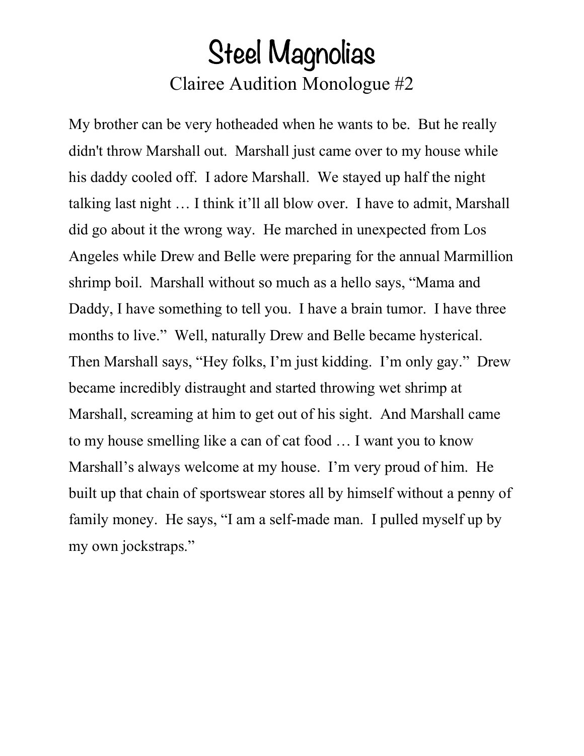## Steel Magnolias Clairee Audition Monologue #2

My brother can be very hotheaded when he wants to be. But he really didn't throw Marshall out. Marshall just came over to my house while his daddy cooled off. I adore Marshall. We stayed up half the night talking last night … I think it'll all blow over. I have to admit, Marshall did go about it the wrong way. He marched in unexpected from Los Angeles while Drew and Belle were preparing for the annual Marmillion shrimp boil. Marshall without so much as a hello says, "Mama and Daddy, I have something to tell you. I have a brain tumor. I have three months to live." Well, naturally Drew and Belle became hysterical. Then Marshall says, "Hey folks, I'm just kidding. I'm only gay." Drew became incredibly distraught and started throwing wet shrimp at Marshall, screaming at him to get out of his sight. And Marshall came to my house smelling like a can of cat food … I want you to know Marshall's always welcome at my house. I'm very proud of him. He built up that chain of sportswear stores all by himself without a penny of family money. He says, "I am a self-made man. I pulled myself up by my own jockstraps."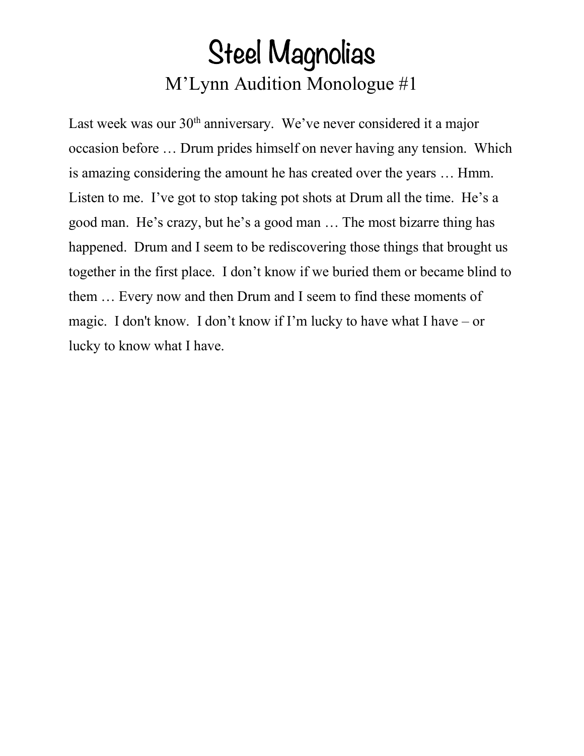# Steel Magnolias M'Lynn Audition Monologue #1

Last week was our 30<sup>th</sup> anniversary. We've never considered it a major occasion before … Drum prides himself on never having any tension. Which is amazing considering the amount he has created over the years … Hmm. Listen to me. I've got to stop taking pot shots at Drum all the time. He's a good man. He's crazy, but he's a good man … The most bizarre thing has happened. Drum and I seem to be rediscovering those things that brought us together in the first place. I don't know if we buried them or became blind to them … Every now and then Drum and I seem to find these moments of magic. I don't know. I don't know if I'm lucky to have what I have – or lucky to know what I have.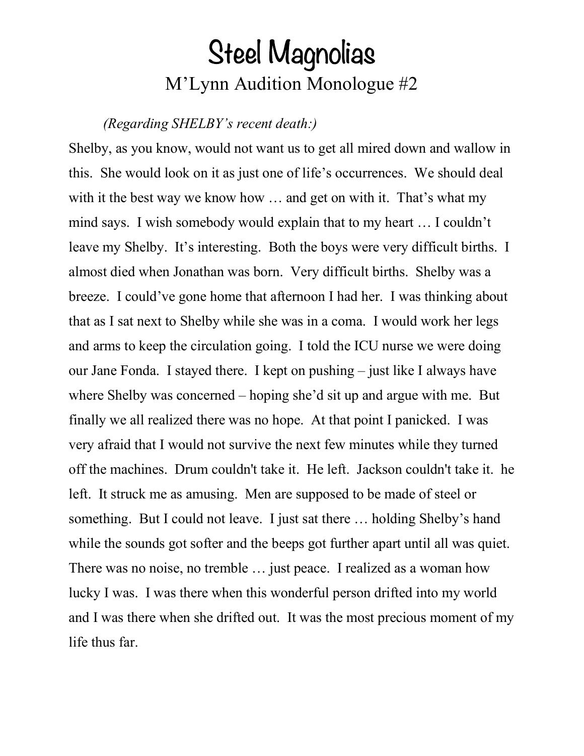## Steel Magnolias M'Lynn Audition Monologue #2

#### *(Regarding SHELBY's recent death:)*

Shelby, as you know, would not want us to get all mired down and wallow in this. She would look on it as just one of life's occurrences. We should deal with it the best way we know how ... and get on with it. That's what my mind says. I wish somebody would explain that to my heart … I couldn't leave my Shelby. It's interesting. Both the boys were very difficult births. I almost died when Jonathan was born. Very difficult births. Shelby was a breeze. I could've gone home that afternoon I had her. I was thinking about that as I sat next to Shelby while she was in a coma. I would work her legs and arms to keep the circulation going. I told the ICU nurse we were doing our Jane Fonda. I stayed there. I kept on pushing – just like I always have where Shelby was concerned – hoping she'd sit up and argue with me. But finally we all realized there was no hope. At that point I panicked. I was very afraid that I would not survive the next few minutes while they turned off the machines. Drum couldn't take it. He left. Jackson couldn't take it. he left. It struck me as amusing. Men are supposed to be made of steel or something. But I could not leave. I just sat there … holding Shelby's hand while the sounds got softer and the beeps got further apart until all was quiet. There was no noise, no tremble … just peace. I realized as a woman how lucky I was. I was there when this wonderful person drifted into my world and I was there when she drifted out. It was the most precious moment of my life thus far.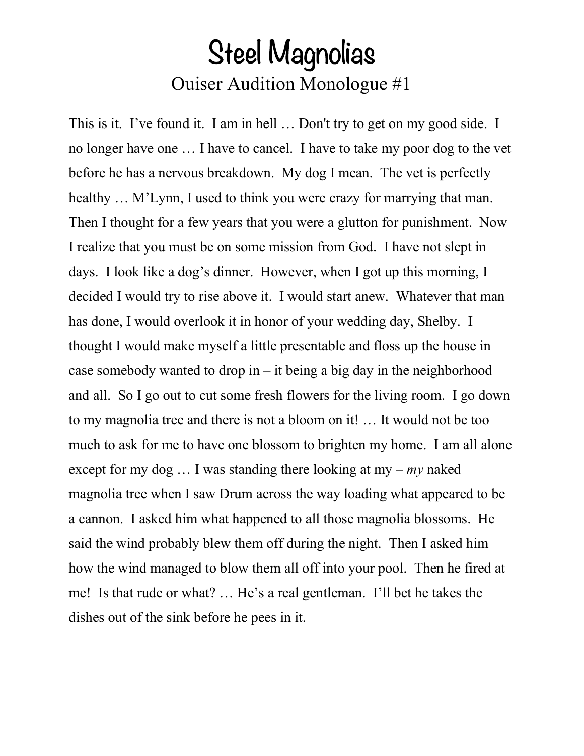## Steel Magnolias Ouiser Audition Monologue #1

This is it. I've found it. I am in hell ... Don't try to get on my good side. I no longer have one … I have to cancel. I have to take my poor dog to the vet before he has a nervous breakdown. My dog I mean. The vet is perfectly healthy ... M'Lynn, I used to think you were crazy for marrying that man. Then I thought for a few years that you were a glutton for punishment. Now I realize that you must be on some mission from God. I have not slept in days. I look like a dog's dinner. However, when I got up this morning, I decided I would try to rise above it. I would start anew. Whatever that man has done, I would overlook it in honor of your wedding day, Shelby. I thought I would make myself a little presentable and floss up the house in case somebody wanted to drop in  $-$  it being a big day in the neighborhood and all. So I go out to cut some fresh flowers for the living room. I go down to my magnolia tree and there is not a bloom on it! … It would not be too much to ask for me to have one blossom to brighten my home. I am all alone except for my dog … I was standing there looking at my – *my* naked magnolia tree when I saw Drum across the way loading what appeared to be a cannon. I asked him what happened to all those magnolia blossoms. He said the wind probably blew them off during the night. Then I asked him how the wind managed to blow them all off into your pool. Then he fired at me! Is that rude or what? … He's a real gentleman. I'll bet he takes the dishes out of the sink before he pees in it.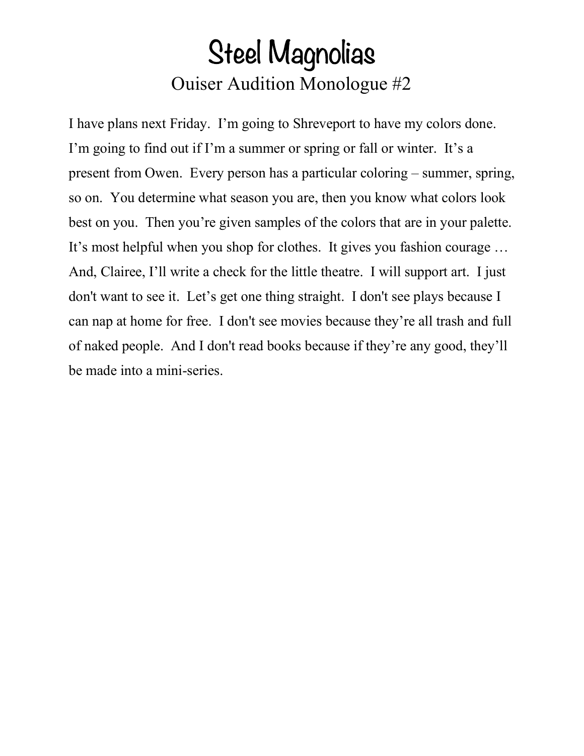## Steel Magnolias Ouiser Audition Monologue #2

I have plans next Friday. I'm going to Shreveport to have my colors done. I'm going to find out if I'm a summer or spring or fall or winter. It's a present from Owen. Every person has a particular coloring – summer, spring, so on. You determine what season you are, then you know what colors look best on you. Then you're given samples of the colors that are in your palette. It's most helpful when you shop for clothes. It gives you fashion courage … And, Clairee, I'll write a check for the little theatre. I will support art. I just don't want to see it. Let's get one thing straight. I don't see plays because I can nap at home for free. I don't see movies because they're all trash and full of naked people. And I don't read books because if they're any good, they'll be made into a mini-series.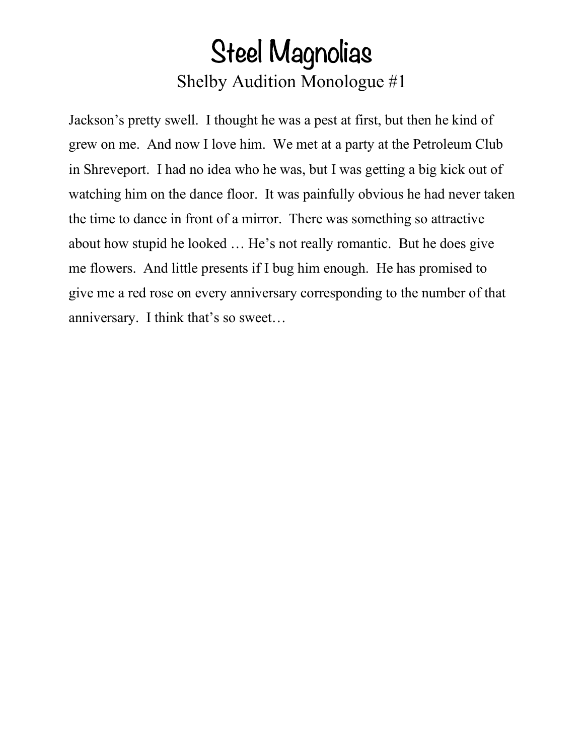### Steel Magnolias Shelby Audition Monologue #1

Jackson's pretty swell. I thought he was a pest at first, but then he kind of grew on me. And now I love him. We met at a party at the Petroleum Club in Shreveport. I had no idea who he was, but I was getting a big kick out of watching him on the dance floor. It was painfully obvious he had never taken the time to dance in front of a mirror. There was something so attractive about how stupid he looked … He's not really romantic. But he does give me flowers. And little presents if I bug him enough. He has promised to give me a red rose on every anniversary corresponding to the number of that anniversary. I think that's so sweet…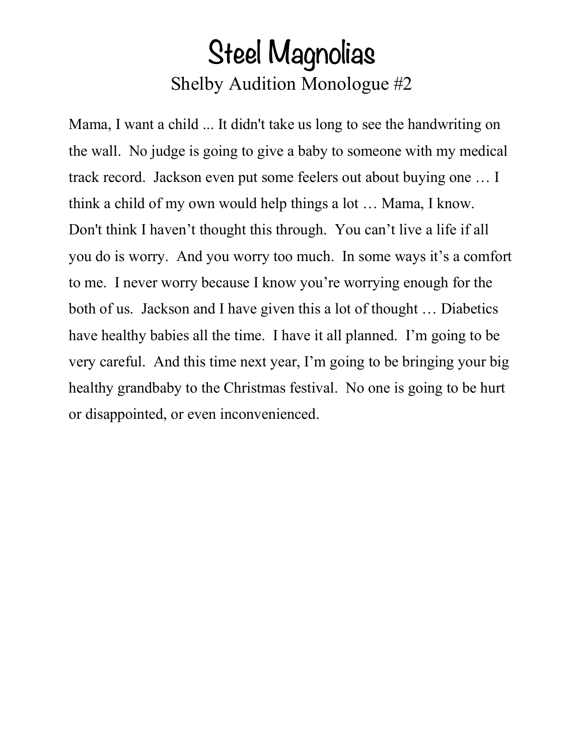# Steel Magnolias Shelby Audition Monologue #2

Mama, I want a child ... It didn't take us long to see the handwriting on the wall. No judge is going to give a baby to someone with my medical track record. Jackson even put some feelers out about buying one … I think a child of my own would help things a lot … Mama, I know. Don't think I haven't thought this through. You can't live a life if all you do is worry. And you worry too much. In some ways it's a comfort to me. I never worry because I know you're worrying enough for the both of us. Jackson and I have given this a lot of thought … Diabetics have healthy babies all the time. I have it all planned. I'm going to be very careful. And this time next year, I'm going to be bringing your big healthy grandbaby to the Christmas festival. No one is going to be hurt or disappointed, or even inconvenienced.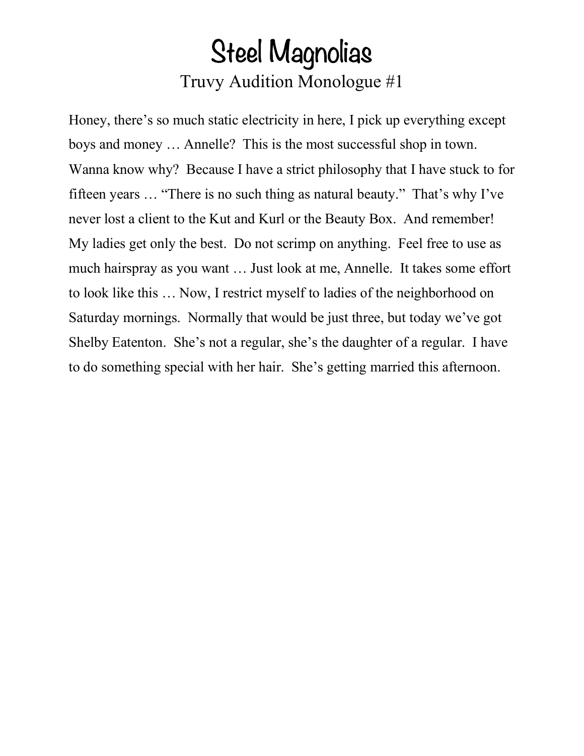### Steel Magnolias Truvy Audition Monologue #1

Honey, there's so much static electricity in here, I pick up everything except boys and money … Annelle? This is the most successful shop in town. Wanna know why? Because I have a strict philosophy that I have stuck to for fifteen years … "There is no such thing as natural beauty." That's why I've never lost a client to the Kut and Kurl or the Beauty Box. And remember! My ladies get only the best. Do not scrimp on anything. Feel free to use as much hairspray as you want … Just look at me, Annelle. It takes some effort to look like this … Now, I restrict myself to ladies of the neighborhood on Saturday mornings. Normally that would be just three, but today we've got Shelby Eatenton. She's not a regular, she's the daughter of a regular. I have to do something special with her hair. She's getting married this afternoon.